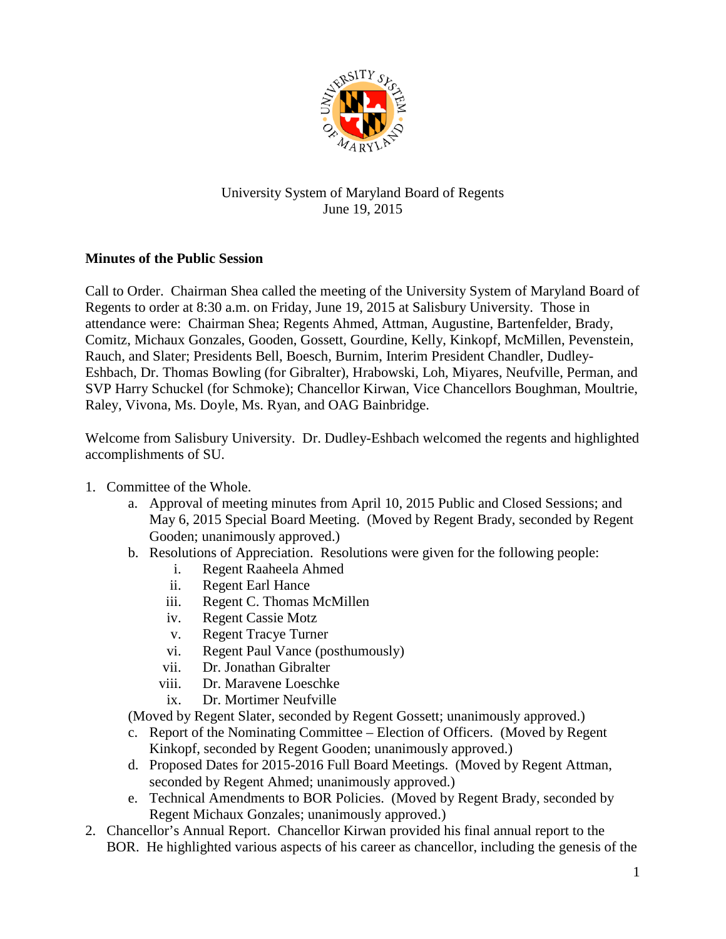

## University System of Maryland Board of Regents June 19, 2015

## **Minutes of the Public Session**

Call to Order. Chairman Shea called the meeting of the University System of Maryland Board of Regents to order at 8:30 a.m. on Friday, June 19, 2015 at Salisbury University. Those in attendance were: Chairman Shea; Regents Ahmed, Attman, Augustine, Bartenfelder, Brady, Comitz, Michaux Gonzales, Gooden, Gossett, Gourdine, Kelly, Kinkopf, McMillen, Pevenstein, Rauch, and Slater; Presidents Bell, Boesch, Burnim, Interim President Chandler, Dudley-Eshbach, Dr. Thomas Bowling (for Gibralter), Hrabowski, Loh, Miyares, Neufville, Perman, and SVP Harry Schuckel (for Schmoke); Chancellor Kirwan, Vice Chancellors Boughman, Moultrie, Raley, Vivona, Ms. Doyle, Ms. Ryan, and OAG Bainbridge.

Welcome from Salisbury University. Dr. Dudley-Eshbach welcomed the regents and highlighted accomplishments of SU.

- 1. Committee of the Whole.
	- a. Approval of meeting minutes from April 10, 2015 Public and Closed Sessions; and May 6, 2015 Special Board Meeting. (Moved by Regent Brady, seconded by Regent Gooden; unanimously approved.)
	- b. Resolutions of Appreciation. Resolutions were given for the following people:
		- i. Regent Raaheela Ahmed
		- ii. Regent Earl Hance
		- iii. Regent C. Thomas McMillen
		- iv. Regent Cassie Motz
		- v. Regent Tracye Turner
		- vi. Regent Paul Vance (posthumously)
		- vii. Dr. Jonathan Gibralter
		- viii. Dr. Maravene Loeschke
		- ix. Dr. Mortimer Neufville

(Moved by Regent Slater, seconded by Regent Gossett; unanimously approved.)

- c. Report of the Nominating Committee Election of Officers. (Moved by Regent Kinkopf, seconded by Regent Gooden; unanimously approved.)
- d. Proposed Dates for 2015-2016 Full Board Meetings. (Moved by Regent Attman, seconded by Regent Ahmed; unanimously approved.)
- e. Technical Amendments to BOR Policies. (Moved by Regent Brady, seconded by Regent Michaux Gonzales; unanimously approved.)
- 2. Chancellor's Annual Report. Chancellor Kirwan provided his final annual report to the BOR. He highlighted various aspects of his career as chancellor, including the genesis of the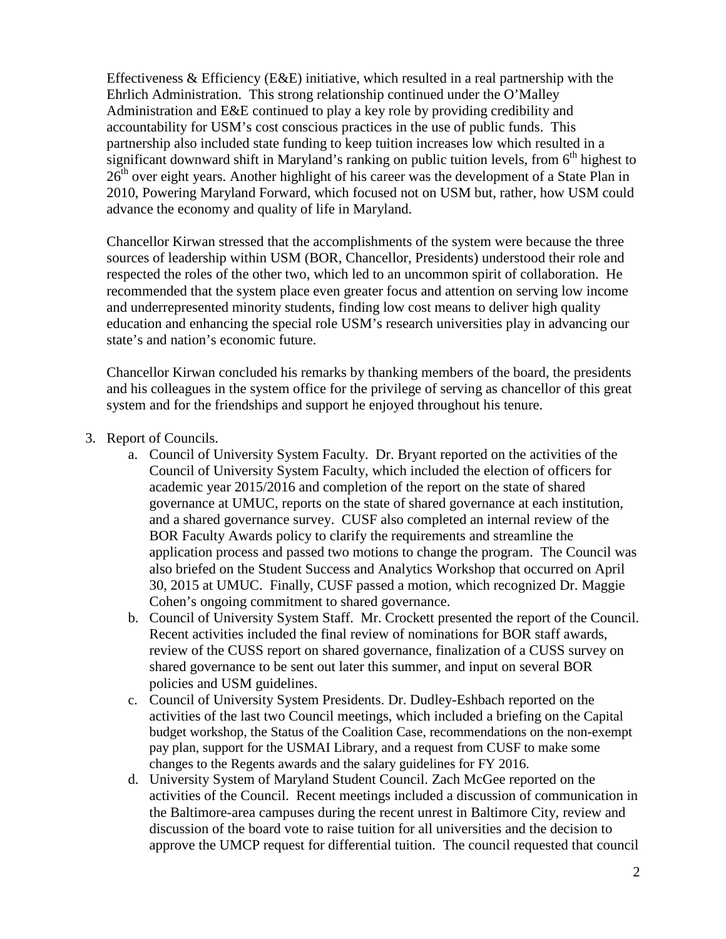Effectiveness  $\&$  Efficiency (E&E) initiative, which resulted in a real partnership with the Ehrlich Administration. This strong relationship continued under the O'Malley Administration and E&E continued to play a key role by providing credibility and accountability for USM's cost conscious practices in the use of public funds. This partnership also included state funding to keep tuition increases low which resulted in a significant downward shift in Maryland's ranking on public tuition levels, from  $6<sup>th</sup>$  highest to 26<sup>th</sup> over eight years. Another highlight of his career was the development of a State Plan in 2010, Powering Maryland Forward, which focused not on USM but, rather, how USM could advance the economy and quality of life in Maryland.

Chancellor Kirwan stressed that the accomplishments of the system were because the three sources of leadership within USM (BOR, Chancellor, Presidents) understood their role and respected the roles of the other two, which led to an uncommon spirit of collaboration. He recommended that the system place even greater focus and attention on serving low income and underrepresented minority students, finding low cost means to deliver high quality education and enhancing the special role USM's research universities play in advancing our state's and nation's economic future.

Chancellor Kirwan concluded his remarks by thanking members of the board, the presidents and his colleagues in the system office for the privilege of serving as chancellor of this great system and for the friendships and support he enjoyed throughout his tenure.

- 3. Report of Councils.
	- a. Council of University System Faculty. Dr. Bryant reported on the activities of the Council of University System Faculty, which included the election of officers for academic year 2015/2016 and completion of the report on the state of shared governance at UMUC, reports on the state of shared governance at each institution, and a shared governance survey. CUSF also completed an internal review of the BOR Faculty Awards policy to clarify the requirements and streamline the application process and passed two motions to change the program. The Council was also briefed on the Student Success and Analytics Workshop that occurred on April 30, 2015 at UMUC. Finally, CUSF passed a motion, which recognized Dr. Maggie Cohen's ongoing commitment to shared governance.
	- b. Council of University System Staff. Mr. Crockett presented the report of the Council. Recent activities included the final review of nominations for BOR staff awards, review of the CUSS report on shared governance, finalization of a CUSS survey on shared governance to be sent out later this summer, and input on several BOR policies and USM guidelines.
	- c. Council of University System Presidents. Dr. Dudley-Eshbach reported on the activities of the last two Council meetings, which included a briefing on the Capital budget workshop, the Status of the Coalition Case, recommendations on the non-exempt pay plan, support for the USMAI Library, and a request from CUSF to make some changes to the Regents awards and the salary guidelines for FY 2016.
	- d. University System of Maryland Student Council. Zach McGee reported on the activities of the Council. Recent meetings included a discussion of communication in the Baltimore-area campuses during the recent unrest in Baltimore City, review and discussion of the board vote to raise tuition for all universities and the decision to approve the UMCP request for differential tuition. The council requested that council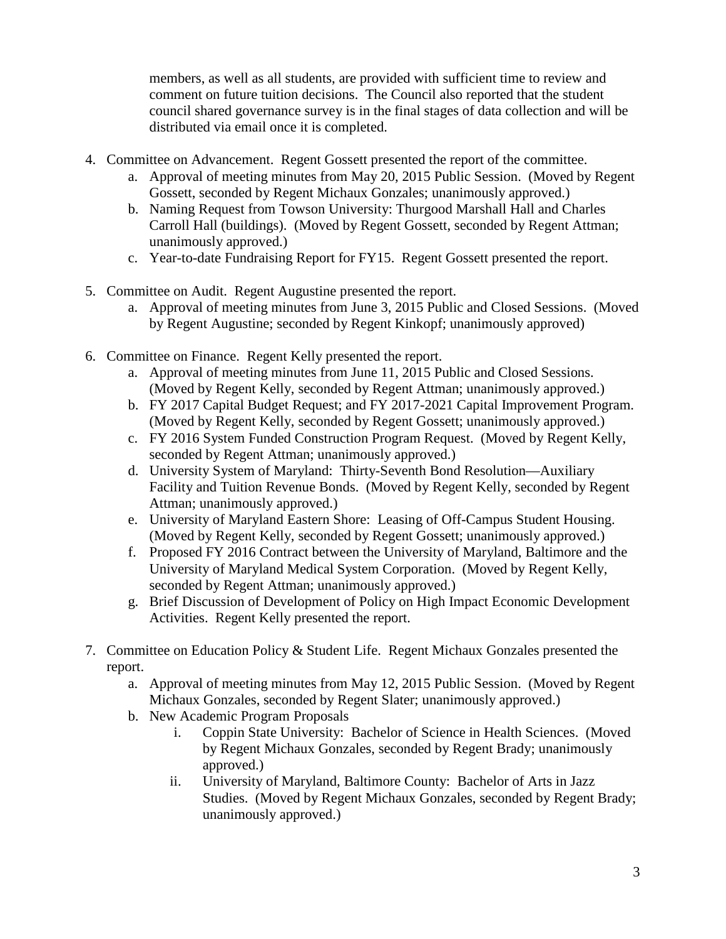members, as well as all students, are provided with sufficient time to review and comment on future tuition decisions. The Council also reported that the student council shared governance survey is in the final stages of data collection and will be distributed via email once it is completed.

- 4. Committee on Advancement. Regent Gossett presented the report of the committee.
	- a. Approval of meeting minutes from May 20, 2015 Public Session. (Moved by Regent Gossett, seconded by Regent Michaux Gonzales; unanimously approved.)
	- b. Naming Request from Towson University: Thurgood Marshall Hall and Charles Carroll Hall (buildings). (Moved by Regent Gossett, seconded by Regent Attman; unanimously approved.)
	- c. Year-to-date Fundraising Report for FY15. Regent Gossett presented the report.
- 5. Committee on Audit. Regent Augustine presented the report.
	- a. Approval of meeting minutes from June 3, 2015 Public and Closed Sessions. (Moved by Regent Augustine; seconded by Regent Kinkopf; unanimously approved)
- 6. Committee on Finance. Regent Kelly presented the report.
	- a. Approval of meeting minutes from June 11, 2015 Public and Closed Sessions. (Moved by Regent Kelly, seconded by Regent Attman; unanimously approved.)
	- b. FY 2017 Capital Budget Request; and FY 2017-2021 Capital Improvement Program. (Moved by Regent Kelly, seconded by Regent Gossett; unanimously approved.)
	- c. FY 2016 System Funded Construction Program Request. (Moved by Regent Kelly, seconded by Regent Attman; unanimously approved.)
	- d. University System of Maryland: Thirty-Seventh Bond Resolution—Auxiliary Facility and Tuition Revenue Bonds. (Moved by Regent Kelly, seconded by Regent Attman; unanimously approved.)
	- e. University of Maryland Eastern Shore: Leasing of Off-Campus Student Housing. (Moved by Regent Kelly, seconded by Regent Gossett; unanimously approved.)
	- f. Proposed FY 2016 Contract between the University of Maryland, Baltimore and the University of Maryland Medical System Corporation. (Moved by Regent Kelly, seconded by Regent Attman; unanimously approved.)
	- g. Brief Discussion of Development of Policy on High Impact Economic Development Activities. Regent Kelly presented the report.
- 7. Committee on Education Policy & Student Life. Regent Michaux Gonzales presented the report.
	- a. Approval of meeting minutes from May 12, 2015 Public Session. (Moved by Regent Michaux Gonzales, seconded by Regent Slater; unanimously approved.)
	- b. New Academic Program Proposals
		- i. Coppin State University: Bachelor of Science in Health Sciences. (Moved by Regent Michaux Gonzales, seconded by Regent Brady; unanimously approved.)
		- ii. University of Maryland, Baltimore County: Bachelor of Arts in Jazz Studies. (Moved by Regent Michaux Gonzales, seconded by Regent Brady; unanimously approved.)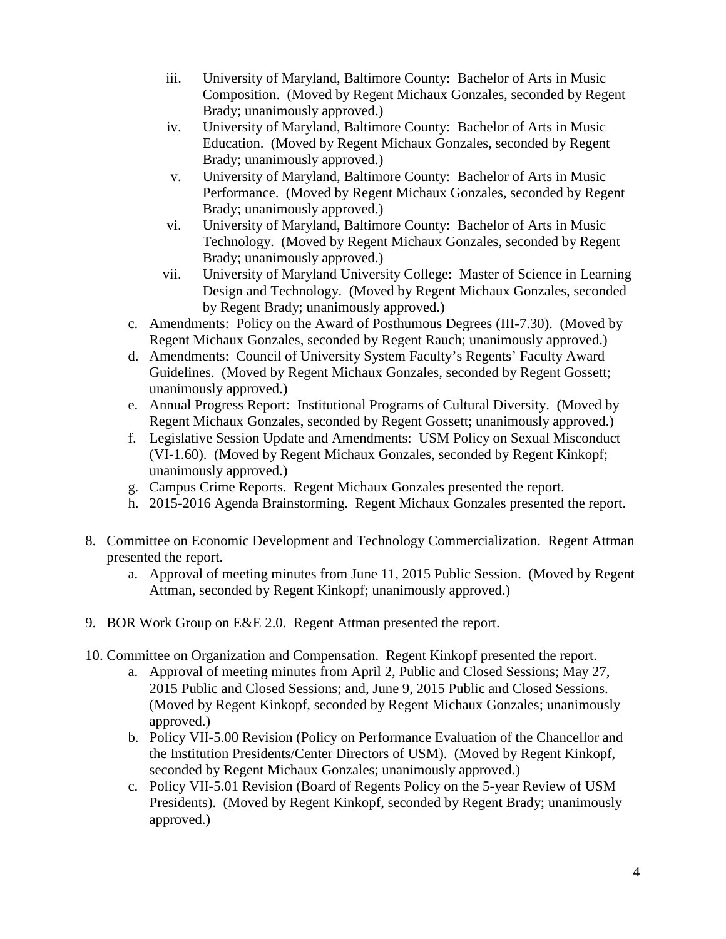- iii. University of Maryland, Baltimore County: Bachelor of Arts in Music Composition. (Moved by Regent Michaux Gonzales, seconded by Regent Brady; unanimously approved.)
- iv. University of Maryland, Baltimore County: Bachelor of Arts in Music Education. (Moved by Regent Michaux Gonzales, seconded by Regent Brady; unanimously approved.)
- v. University of Maryland, Baltimore County: Bachelor of Arts in Music Performance. (Moved by Regent Michaux Gonzales, seconded by Regent Brady; unanimously approved.)
- vi. University of Maryland, Baltimore County: Bachelor of Arts in Music Technology. (Moved by Regent Michaux Gonzales, seconded by Regent Brady; unanimously approved.)
- vii. University of Maryland University College: Master of Science in Learning Design and Technology. (Moved by Regent Michaux Gonzales, seconded by Regent Brady; unanimously approved.)
- c. Amendments: Policy on the Award of Posthumous Degrees (III-7.30). (Moved by Regent Michaux Gonzales, seconded by Regent Rauch; unanimously approved.)
- d. Amendments: Council of University System Faculty's Regents' Faculty Award Guidelines. (Moved by Regent Michaux Gonzales, seconded by Regent Gossett; unanimously approved.)
- e. Annual Progress Report: Institutional Programs of Cultural Diversity. (Moved by Regent Michaux Gonzales, seconded by Regent Gossett; unanimously approved.)
- f. Legislative Session Update and Amendments: USM Policy on Sexual Misconduct (VI-1.60). (Moved by Regent Michaux Gonzales, seconded by Regent Kinkopf; unanimously approved.)
- g. Campus Crime Reports. Regent Michaux Gonzales presented the report.
- h. 2015-2016 Agenda Brainstorming. Regent Michaux Gonzales presented the report.
- 8. Committee on Economic Development and Technology Commercialization. Regent Attman presented the report.
	- a. Approval of meeting minutes from June 11, 2015 Public Session. (Moved by Regent Attman, seconded by Regent Kinkopf; unanimously approved.)
- 9. BOR Work Group on E&E 2.0. Regent Attman presented the report.
- 10. Committee on Organization and Compensation. Regent Kinkopf presented the report.
	- a. Approval of meeting minutes from April 2, Public and Closed Sessions; May 27, 2015 Public and Closed Sessions; and, June 9, 2015 Public and Closed Sessions. (Moved by Regent Kinkopf, seconded by Regent Michaux Gonzales; unanimously approved.)
	- b. Policy VII-5.00 Revision (Policy on Performance Evaluation of the Chancellor and the Institution Presidents/Center Directors of USM). (Moved by Regent Kinkopf, seconded by Regent Michaux Gonzales; unanimously approved.)
	- c. Policy VII-5.01 Revision (Board of Regents Policy on the 5-year Review of USM Presidents). (Moved by Regent Kinkopf, seconded by Regent Brady; unanimously approved.)